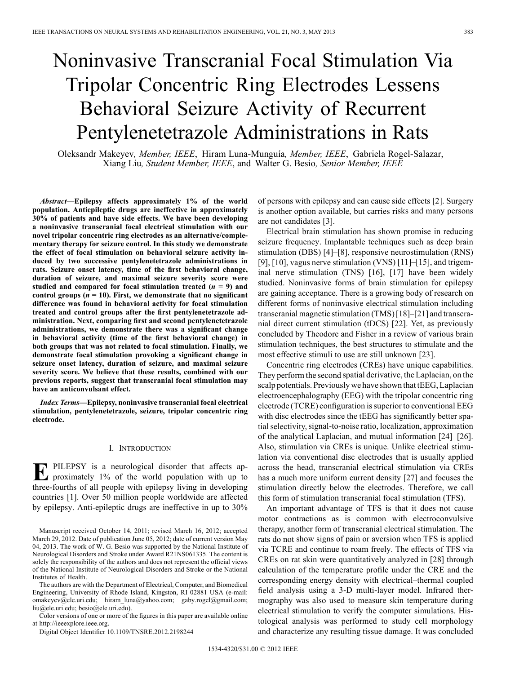# Noninvasive Transcranial Focal Stimulation Via Tripolar Concentric Ring Electrodes Lessens Behavioral Seizure Activity of Recurrent Pentylenetetrazole Administrations in Rats

Oleksandr Makeyev*, Member, IEEE*, Hiram Luna-Munguía*, Member, IEEE*, Gabriela Rogel-Salazar, Xiang Liu*, Student Member, IEEE*, and Walter G. Besio*, Senior Member, IEEE*

*Abstract—***Epilepsy affects approximately 1% of the world population. Antiepileptic drugs are ineffective in approximately 30% of patients and have side effects. We have been developing a noninvasive transcranial focal electrical stimulation with our novel tripolar concentric ring electrodes as an alternative/complementary therapy for seizure control. In this study we demonstrate the effect of focal stimulation on behavioral seizure activity induced by two successive pentylenetetrazole administrations in rats. Seizure onset latency, time of the first behavioral change, duration of seizure, and maximal seizure severity score were** studied and compared for focal stimulation treated  $(n = 9)$  and control groups  $(n = 10)$ . First, we demonstrate that no significant **difference was found in behavioral activity for focal stimulation treated and control groups after the first pentylenetetrazole administration. Next, comparing first and second pentylenetetrazole administrations, we demonstrate there was a significant change in behavioral activity (time of the first behavioral change) in both groups that was not related to focal stimulation. Finally, we demonstrate focal stimulation provoking a significant change in seizure onset latency, duration of seizure, and maximal seizure severity score. We believe that these results, combined with our previous reports, suggest that transcranial focal stimulation may have an anticonvulsant effect.**

*Index Terms—***Epilepsy, noninvasive transcranial focal electrical stimulation, pentylenetetrazole, seizure, tripolar concentric ring electrode.**

## I. INTRODUCTION

**E**PILEPSY is a neurological disorder that affects approximately 1% of the world population with up to three-fourths of all people with epilepsy living in developing countries [1]. Over 50 million people worldwide are affected by epilepsy. Anti-epileptic drugs are ineffective in up to 30%

The authors are with the Department of Electrical, Computer, and Biomedical Engineering, University of Rhode Island, Kingston, RI 02881 USA (e-mail: omakeyev@ele.uri.edu; hiram\_luna@yahoo.com; gaby.rogel@gmail.com; liu@ele.uri.edu; besio@ele.uri.edu).

Color versions of one or more of the figures in this paper are available online at http://ieeexplore.ieee.org.

Digital Object Identifier 10.1109/TNSRE.2012.2198244

of persons with epilepsy and can cause side effects [2]. Surgery is another option available, but carries risks and many persons are not candidates [3].

Electrical brain stimulation has shown promise in reducing seizure frequency. Implantable techniques such as deep brain stimulation (DBS) [4]–[8], responsive neurostimulation (RNS) [9], [10], vagus nerve stimulation (VNS)  $[11]–[15]$ , and trigeminal nerve stimulation (TNS) [16], [17] have been widely studied. Noninvasive forms of brain stimulation for epilepsy are gaining acceptance. There is a growing body of research on different forms of noninvasive electrical stimulation including transcranial magnetic stimulation (TMS) [18]–[21] and transcranial direct current stimulation (tDCS) [22]. Yet, as previously concluded by Theodore and Fisher in a review of various brain stimulation techniques, the best structures to stimulate and the most effective stimuli to use are still unknown [23].

Concentric ring electrodes (CREs) have unique capabilities. They perform the second spatial derivative, the Laplacian, on the scalp potentials. Previously we have shown that tEEG, Laplacian electroencephalography (EEG) with the tripolar concentric ring electrode (TCRE) configuration is superior to conventional EEG with disc electrodes since the tEEG has significantly better spatial selectivity,signal-to-noise ratio, localization, approximation of the analytical Laplacian, and mutual information [24]–[26]. Also, stimulation via CREs is unique. Unlike electrical stimulation via conventional disc electrodes that is usually applied across the head, transcranial electrical stimulation via CREs has a much more uniform current density [27] and focuses the stimulation directly below the electrodes. Therefore, we call this form of stimulation transcranial focal stimulation (TFS).

An important advantage of TFS is that it does not cause motor contractions as is common with electroconvulsive therapy, another form of transcranial electrical stimulation. The rats do not show signs of pain or aversion when TFS is applied via TCRE and continue to roam freely. The effects of TFS via CREs on rat skin were quantitatively analyzed in [28] through calculation of the temperature profile under the CRE and the corresponding energy density with electrical–thermal coupled field analysis using a 3-D multi-layer model. Infrared thermography was also used to measure skin temperature during electrical stimulation to verify the computer simulations. Histological analysis was performed to study cell morphology and characterize any resulting tissue damage. It was concluded

Manuscript received October 14, 2011; revised March 16, 2012; accepted March 29, 2012. Date of publication June 05, 2012; date of current version May 04, 2013. The work of W. G. Besio was supported by the National Institute of Neurological Disorders and Stroke under Award R21NS061335. The content is solely the responsibility of the authors and does not represent the official views of the National Institute of Neurological Disorders and Stroke or the National Institutes of Health.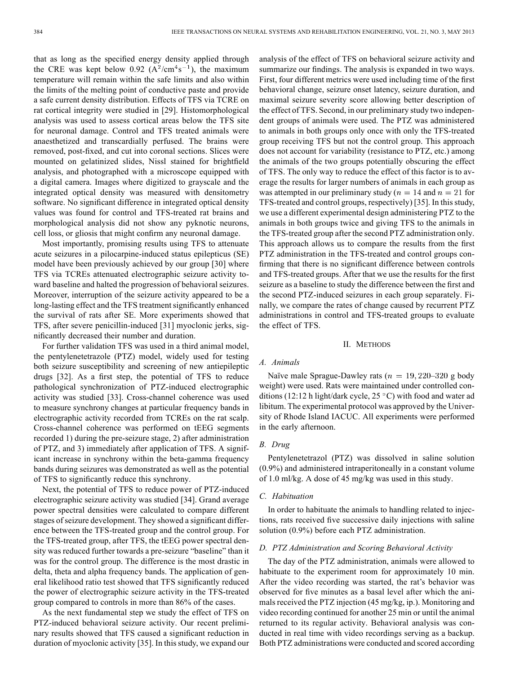that as long as the specified energy density applied through the CRE was kept below 0.92  $(A^2/cm^4s^{-1})$ , the maximum temperature will remain within the safe limits and also within the limits of the melting point of conductive paste and provide a safe current density distribution. Effects of TFS via TCRE on rat cortical integrity were studied in [29]. Histomorphological analysis was used to assess cortical areas below the TFS site for neuronal damage. Control and TFS treated animals were anaesthetized and transcardially perfused. The brains were removed, post-fixed, and cut into coronal sections. Slices were mounted on gelatinized slides, Nissl stained for brightfield analysis, and photographed with a microscope equipped with a digital camera. Images where digitized to grayscale and the integrated optical density was measured with densitometry software. No significant difference in integrated optical density values was found for control and TFS-treated rat brains and morphological analysis did not show any pyknotic neurons, cell loss, or gliosis that might confirm any neuronal damage.

Most importantly, promising results using TFS to attenuate acute seizures in a pilocarpine-induced status epilepticus (SE) model have been previously achieved by our group [30] where TFS via TCREs attenuated electrographic seizure activity toward baseline and halted the progression of behavioral seizures. Moreover, interruption of the seizure activity appeared to be a long-lasting effect and the TFS treatment significantly enhanced the survival of rats after SE. More experiments showed that TFS, after severe penicillin-induced [31] myoclonic jerks, significantly decreased their number and duration.

For further validation TFS was used in a third animal model, the pentylenetetrazole (PTZ) model, widely used for testing both seizure susceptibility and screening of new antiepileptic drugs [32]. As a first step, the potential of TFS to reduce pathological synchronization of PTZ-induced electrographic activity was studied [33]. Cross-channel coherence was used to measure synchrony changes at particular frequency bands in electrographic activity recorded from TCREs on the rat scalp. Cross-channel coherence was performed on tEEG segments recorded 1) during the pre-seizure stage, 2) after administration of PTZ, and 3) immediately after application of TFS. A significant increase in synchrony within the beta-gamma frequency bands during seizures was demonstrated as well as the potential of TFS to significantly reduce this synchrony.

Next, the potential of TFS to reduce power of PTZ-induced electrographic seizure activity was studied [34]. Grand average power spectral densities were calculated to compare different stages of seizure development. They showed a significant difference between the TFS-treated group and the control group. For the TFS-treated group, after TFS, the tEEG power spectral density was reduced further towards a pre-seizure "baseline" than it was for the control group. The difference is the most drastic in delta, theta and alpha frequency bands. The application of general likelihood ratio test showed that TFS significantly reduced the power of electrographic seizure activity in the TFS-treated group compared to controls in more than 86% of the cases.

As the next fundamental step we study the effect of TFS on PTZ-induced behavioral seizure activity. Our recent preliminary results showed that TFS caused a significant reduction in duration of myoclonic activity [35]. In this study, we expand our analysis of the effect of TFS on behavioral seizure activity and summarize our findings. The analysis is expanded in two ways. First, four different metrics were used including time of the first behavioral change, seizure onset latency, seizure duration, and maximal seizure severity score allowing better description of the effect of TFS. Second, in our preliminary study two independent groups of animals were used. The PTZ was administered to animals in both groups only once with only the TFS-treated group receiving TFS but not the control group. This approach does not account for variability (resistance to PTZ, etc.) among the animals of the two groups potentially obscuring the effect of TFS. The only way to reduce the effect of this factor is to average the results for larger numbers of animals in each group as was attempted in our preliminary study ( $n = 14$  and  $n = 21$  for TFS-treated and control groups, respectively) [35]. In this study, we use a different experimental design administering PTZ to the animals in both groups twice and giving TFS to the animals in the TFS-treated group after the second PTZ administration only. This approach allows us to compare the results from the first PTZ administration in the TFS-treated and control groups confirming that there is no significant difference between controls and TFS-treated groups. After that we use the results for the first seizure as a baseline to study the difference between the first and the second PTZ-induced seizures in each group separately. Finally, we compare the rates of change caused by recurrent PTZ administrations in control and TFS-treated groups to evaluate the effect of TFS.

#### II. METHODS

#### *A. Animals*

Naïve male Sprague-Dawley rats ( $n = 19,220-320$  g body weight) were used. Rats were maintained under controlled conditions (12:12 h light/dark cycle,  $25^{\circ}$ C) with food and water ad libitum. The experimental protocol was approved by the University of Rhode Island IACUC. All experiments were performed in the early afternoon.

## *B. Drug*

Pentylenetetrazol (PTZ) was dissolved in saline solution (0.9%) and administered intraperitoneally in a constant volume of 1.0 ml/kg. A dose of 45 mg/kg was used in this study.

## *C. Habituation*

In order to habituate the animals to handling related to injections, rats received five successive daily injections with saline solution (0.9%) before each PTZ administration.

## *D. PTZ Administration and Scoring Behavioral Activity*

The day of the PTZ administration, animals were allowed to habituate to the experiment room for approximately 10 min. After the video recording was started, the rat's behavior was observed for five minutes as a basal level after which the animals received the PTZ injection (45 mg/kg, ip.). Monitoring and video recording continued for another 25 min or until the animal returned to its regular activity. Behavioral analysis was conducted in real time with video recordings serving as a backup. Both PTZ administrations were conducted and scored according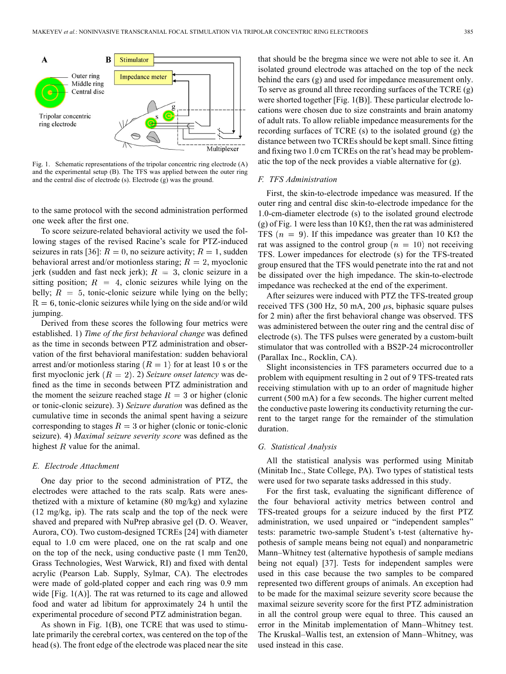

Fig. 1. Schematic representations of the tripolar concentric ring electrode (A) and the experimental setup (B). The TFS was applied between the outer ring and the central disc of electrode (s). Electrode (g) was the ground.

to the same protocol with the second administration performed one week after the first one.

To score seizure-related behavioral activity we used the following stages of the revised Racine's scale for PTZ-induced seizures in rats [36]:  $R = 0$ , no seizure activity;  $R = 1$ , sudden behavioral arrest and/or motionless staring;  $R = 2$ , myoclonic jerk (sudden and fast neck jerk);  $R = 3$ , clonic seizure in a sitting position;  $R = 4$ , clonic seizures while lying on the belly;  $R = 5$ , tonic-clonic seizure while lying on the belly;  $R = 6$ , tonic-clonic seizures while lying on the side and/or wild jumping.

Derived from these scores the following four metrics were established. 1) *Time of the first behavioral change* was defined as the time in seconds between PTZ administration and observation of the first behavioral manifestation: sudden behavioral arrest and/or motionless staring  $(R = 1)$  for at least 10 s or the first myoclonic jerk  $(R = 2)$ . 2) *Seizure onset latency* was defined as the time in seconds between PTZ administration and the moment the seizure reached stage  $R = 3$  or higher (clonic or tonic-clonic seizure). 3) *Seizure duration* was defined as the cumulative time in seconds the animal spent having a seizure corresponding to stages  $R = 3$  or higher (clonic or tonic-clonic seizure). 4) *Maximal seizure severity score* was defined as the highest  $R$  value for the animal.

#### *E. Electrode Attachment*

One day prior to the second administration of PTZ, the electrodes were attached to the rats scalp. Rats were anesthetized with a mixture of ketamine (80 mg/kg) and xylazine (12 mg/kg, ip). The rats scalp and the top of the neck were shaved and prepared with NuPrep abrasive gel (D. O. Weaver, Aurora, CO). Two custom-designed TCREs [24] with diameter equal to 1.0 cm were placed, one on the rat scalp and one on the top of the neck, using conductive paste (1 mm Ten20, Grass Technologies, West Warwick, RI) and fixed with dental acrylic (Pearson Lab. Supply, Sylmar, CA). The electrodes were made of gold-plated copper and each ring was 0.9 mm wide [Fig. 1(A)]. The rat was returned to its cage and allowed food and water ad libitum for approximately 24 h until the experimental procedure of second PTZ administration began.

As shown in Fig. 1(B), one TCRE that was used to stimulate primarily the cerebral cortex, was centered on the top of the head (s). The front edge of the electrode was placed near the site

that should be the bregma since we were not able to see it. An isolated ground electrode was attached on the top of the neck behind the ears (g) and used for impedance measurement only. To serve as ground all three recording surfaces of the TCRE (g) were shorted together [Fig. 1(B)]. These particular electrode locations were chosen due to size constraints and brain anatomy of adult rats. To allow reliable impedance measurements for the recording surfaces of TCRE (s) to the isolated ground (g) the distance between two TCREs should be kept small. Since fitting and fixing two 1.0 cm TCREs on the rat's head may be problematic the top of the neck provides a viable alternative for (g).

#### *F. TFS Administration*

First, the skin-to-electrode impedance was measured. If the outer ring and central disc skin-to-electrode impedance for the 1.0-cm-diameter electrode (s) to the isolated ground electrode (g) of Fig. 1 were less than 10 K $\Omega$ , then the rat was administered TFS  $(n = 9)$ . If this impedance was greater than 10 K $\Omega$  the rat was assigned to the control group  $(n = 10)$  not receiving TFS. Lower impedances for electrode (s) for the TFS-treated group ensured that the TFS would penetrate into the rat and not be dissipated over the high impedance. The skin-to-electrode impedance was rechecked at the end of the experiment.

After seizures were induced with PTZ the TFS-treated group received TFS (300 Hz, 50 mA, 200  $\mu$ s, biphasic square pulses for 2 min) after the first behavioral change was observed. TFS was administered between the outer ring and the central disc of electrode (s). The TFS pulses were generated by a custom-built stimulator that was controlled with a BS2P-24 microcontroller (Parallax Inc., Rocklin, CA).

Slight inconsistencies in TFS parameters occurred due to a problem with equipment resulting in 2 out of 9 TFS-treated rats receiving stimulation with up to an order of magnitude higher current (500 mA) for a few seconds. The higher current melted the conductive paste lowering its conductivity returning the current to the target range for the remainder of the stimulation duration.

## *G. Statistical Analysis*

All the statistical analysis was performed using Minitab (Minitab Inc., State College, PA). Two types of statistical tests were used for two separate tasks addressed in this study.

For the first task, evaluating the significant difference of the four behavioral activity metrics between control and TFS-treated groups for a seizure induced by the first PTZ administration, we used unpaired or "independent samples" tests: parametric two-sample Student's t-test (alternative hypothesis of sample means being not equal) and nonparametric Mann–Whitney test (alternative hypothesis of sample medians being not equal) [37]. Tests for independent samples were used in this case because the two samples to be compared represented two different groups of animals. An exception had to be made for the maximal seizure severity score because the maximal seizure severity score for the first PTZ administration in all the control group were equal to three. This caused an error in the Minitab implementation of Mann–Whitney test. The Kruskal–Wallis test, an extension of Mann–Whitney, was used instead in this case.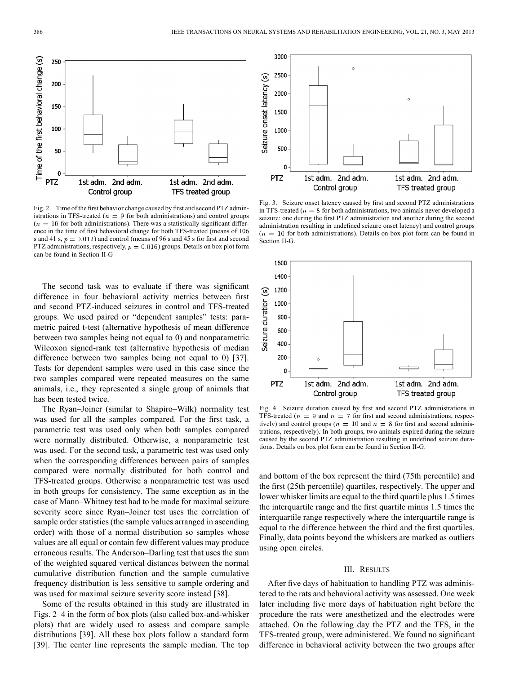

Fig. 2. Time of the first behavior change caused by first and second PTZ administrations in TFS-treated ( $n = 9$  for both administrations) and control groups  $(n = 10)$  for both administrations). There was a statistically significant difference in the time of first behavioral change for both TFS-treated (means of 106 s and 41 s,  $p = 0.012$ ) and control (means of 96 s and 45 s for first and second PTZ administrations, respectively,  $p = 0.016$ ) groups. Details on box plot form can be found in Section II-G

The second task was to evaluate if there was significant difference in four behavioral activity metrics between first and second PTZ-induced seizures in control and TFS-treated groups. We used paired or "dependent samples" tests: parametric paired t-test (alternative hypothesis of mean difference between two samples being not equal to 0) and nonparametric Wilcoxon signed-rank test (alternative hypothesis of median difference between two samples being not equal to 0) [37]. Tests for dependent samples were used in this case since the two samples compared were repeated measures on the same animals, i.e., they represented a single group of animals that has been tested twice.

The Ryan–Joiner (similar to Shapiro–Wilk) normality test was used for all the samples compared. For the first task, a parametric test was used only when both samples compared were normally distributed. Otherwise, a nonparametric test was used. For the second task, a parametric test was used only when the corresponding differences between pairs of samples compared were normally distributed for both control and TFS-treated groups. Otherwise a nonparametric test was used in both groups for consistency. The same exception as in the case of Mann–Whitney test had to be made for maximal seizure severity score since Ryan–Joiner test uses the correlation of sample order statistics (the sample values arranged in ascending order) with those of a normal distribution so samples whose values are all equal or contain few different values may produce erroneous results. The Anderson–Darling test that uses the sum of the weighted squared vertical distances between the normal cumulative distribution function and the sample cumulative frequency distribution is less sensitive to sample ordering and was used for maximal seizure severity score instead [38].

Some of the results obtained in this study are illustrated in Figs. 2–4 in the form of box plots (also called box-and-whisker plots) that are widely used to assess and compare sample distributions [39]. All these box plots follow a standard form [39]. The center line represents the sample median. The top



Fig. 3. Seizure onset latency caused by first and second PTZ administrations in TFS-treated ( $n = 8$  for both administrations, two animals never developed a seizure: one during the first PTZ administration and another during the second administration resulting in undefined seizure onset latency) and control groups  $(n = 10)$  for both administrations). Details on box plot form can be found in Section II-G.



Fig. 4. Seizure duration caused by first and second PTZ administrations in TFS-treated ( $n = 9$  and  $n = 7$  for first and second administrations, respectively) and control groups ( $n = 10$  and  $n = 8$  for first and second administrations, respectively). In both groups, two animals expired during the seizure caused by the second PTZ administration resulting in undefined seizure durations. Details on box plot form can be found in Section II-G.

and bottom of the box represent the third (75th percentile) and the first (25th percentile) quartiles, respectively. The upper and lower whisker limits are equal to the third quartile plus 1.5 times the interquartile range and the first quartile minus 1.5 times the interquartile range respectively where the interquartile range is equal to the difference between the third and the first quartiles. Finally, data points beyond the whiskers are marked as outliers using open circles.

## III. RESULTS

After five days of habituation to handling PTZ was administered to the rats and behavioral activity was assessed. One week later including five more days of habituation right before the procedure the rats were anesthetized and the electrodes were attached. On the following day the PTZ and the TFS, in the TFS-treated group, were administered. We found no significant difference in behavioral activity between the two groups after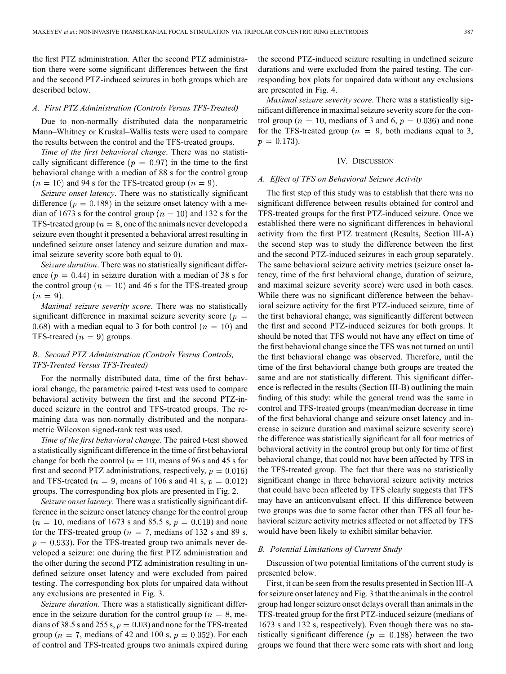the first PTZ administration. After the second PTZ administration there were some significant differences between the first and the second PTZ-induced seizures in both groups which are described below.

## *A. First PTZ Administration (Controls Versus TFS-Treated)*

Due to non-normally distributed data the nonparametric Mann–Whitney or Kruskal–Wallis tests were used to compare the results between the control and the TFS-treated groups.

*Time of the first behavioral change*. There was no statistically significant difference ( $p = 0.97$ ) in the time to the first behavioral change with a median of 88 s for the control group  $(n = 10)$  and 94 s for the TFS-treated group  $(n = 9)$ .

*Seizure onset latency*. There was no statistically significant difference ( $p = 0.188$ ) in the seizure onset latency with a median of 1673 s for the control group ( $n = 10$ ) and 132 s for the TFS-treated group ( $n = 8$ , one of the animals never developed a seizure even thought it presented a behavioral arrest resulting in undefined seizure onset latency and seizure duration and maximal seizure severity score both equal to 0).

*Seizure duration*. There was no statistically significant difference  $(p = 0.44)$  in seizure duration with a median of 38 s for the control group ( $n = 10$ ) and 46 s for the TFS-treated group  $(n = 9)$ .

*Maximal seizure severity score*. There was no statistically significant difference in maximal seizure severity score  $(p =$ 0.68) with a median equal to 3 for both control  $(n = 10)$  and TFS-treated  $(n = 9)$  groups.

## *B. Second PTZ Administration (Controls Vesrus Controls, TFS-Treated Versus TFS-Treated)*

For the normally distributed data, time of the first behavioral change, the parametric paired t-test was used to compare behavioral activity between the first and the second PTZ-induced seizure in the control and TFS-treated groups. The remaining data was non-normally distributed and the nonparametric Wilcoxon signed-rank test was used.

*Time of the first behavioral change*. The paired t-test showed a statistically significant difference in the time of first behavioral change for both the control ( $n = 10$ , means of 96 s and 45 s for first and second PTZ administrations, respectively,  $p = 0.016$ ) and TFS-treated ( $n = 9$ , means of 106 s and 41 s,  $p = 0.012$ ) groups. The corresponding box plots are presented in Fig. 2.

*Seizure onset latency*. There was a statistically significant difference in the seizure onset latency change for the control group  $(n = 10, \text{ medians of } 1673 \text{ s and } 85.5 \text{ s}, p = 0.019)$  and none for the TFS-treated group ( $n = 7$ , medians of 132 s and 89 s,  $p = 0.933$ ). For the TFS-treated group two animals never developed a seizure: one during the first PTZ administration and the other during the second PTZ administration resulting in undefined seizure onset latency and were excluded from paired testing. The corresponding box plots for unpaired data without any exclusions are presented in Fig. 3.

*Seizure duration*. There was a statistically significant difference in the seizure duration for the control group ( $n = 8$ , medians of 38.5 s and 255 s,  $p = 0.03$ ) and none for the TFS-treated group ( $n = 7$ , medians of 42 and 100 s,  $p = 0.052$ ). For each of control and TFS-treated groups two animals expired during

the second PTZ-induced seizure resulting in undefined seizure durations and were excluded from the paired testing. The corresponding box plots for unpaired data without any exclusions are presented in Fig. 4.

*Maximal seizure severity score*. There was a statistically significant difference in maximal seizure severity score for the control group ( $n = 10$ , medians of 3 and 6,  $p = 0.036$ ) and none for the TFS-treated group ( $n = 9$ , both medians equal to 3,  $p = 0.173$ .

#### IV. DISCUSSION

#### *A. Effect of TFS on Behavioral Seizure Activity*

The first step of this study was to establish that there was no significant difference between results obtained for control and TFS-treated groups for the first PTZ-induced seizure. Once we established there were no significant differences in behavioral activity from the first PTZ treatment (Results, Section III-A) the second step was to study the difference between the first and the second PTZ-induced seizures in each group separately. The same behavioral seizure activity metrics (seizure onset latency, time of the first behavioral change, duration of seizure, and maximal seizure severity score) were used in both cases. While there was no significant difference between the behavioral seizure activity for the first PTZ-induced seizure, time of the first behavioral change, was significantly different between the first and second PTZ-induced seizures for both groups. It should be noted that TFS would not have any effect on time of the first behavioral change since the TFS was not turned on until the first behavioral change was observed. Therefore, until the time of the first behavioral change both groups are treated the same and are not statistically different. This significant difference is reflected in the results (Section III-B) outlining the main finding of this study: while the general trend was the same in control and TFS-treated groups (mean/median decrease in time of the first behavioral change and seizure onset latency and increase in seizure duration and maximal seizure severity score) the difference was statistically significant for all four metrics of behavioral activity in the control group but only for time of first behavioral change, that could not have been affected by TFS in the TFS-treated group. The fact that there was no statistically significant change in three behavioral seizure activity metrics that could have been affected by TFS clearly suggests that TFS may have an anticonvulsant effect. If this difference between two groups was due to some factor other than TFS all four behavioral seizure activity metrics affected or not affected by TFS would have been likely to exhibit similar behavior.

#### *B. Potential Limitations of Current Study*

Discussion of two potential limitations of the current study is presented below.

First, it can be seen from the results presented in Section III-A for seizure onset latency and Fig. 3 that the animals in the control group had longer seizure onset delays overall than animals in the TFS-treated group for the first PTZ-induced seizure (medians of 1673 s and 132 s, respectively). Even though there was no statistically significant difference ( $p = 0.188$ ) between the two groups we found that there were some rats with short and long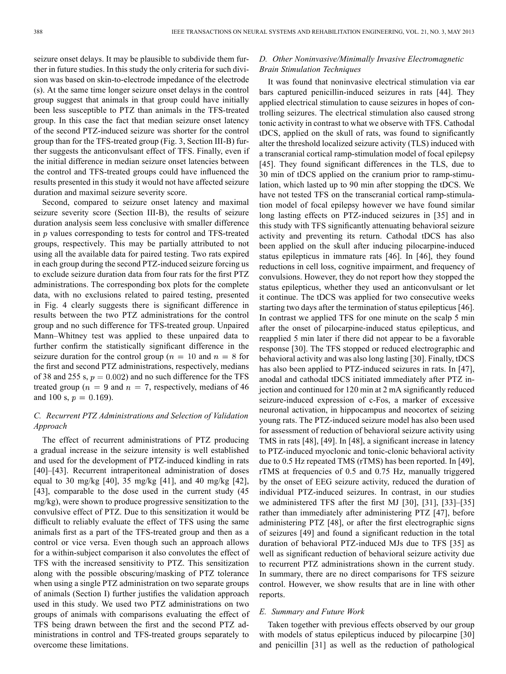seizure onset delays. It may be plausible to subdivide them further in future studies. In this study the only criteria for such division was based on skin-to-electrode impedance of the electrode (s). At the same time longer seizure onset delays in the control group suggest that animals in that group could have initially been less susceptible to PTZ than animals in the TFS-treated group. In this case the fact that median seizure onset latency of the second PTZ-induced seizure was shorter for the control group than for the TFS-treated group (Fig. 3, Section III-B) further suggests the anticonvulsant effect of TFS. Finally, even if the initial difference in median seizure onset latencies between the control and TFS-treated groups could have influenced the results presented in this study it would not have affected seizure duration and maximal seizure severity score.

Second, compared to seizure onset latency and maximal seizure severity score (Section III-B), the results of seizure duration analysis seem less conclusive with smaller difference in  $p$  values corresponding to tests for control and TFS-treated groups, respectively. This may be partially attributed to not using all the available data for paired testing. Two rats expired in each group during the second PTZ-induced seizure forcing us to exclude seizure duration data from four rats for the first PTZ administrations. The corresponding box plots for the complete data, with no exclusions related to paired testing, presented in Fig. 4 clearly suggests there is significant difference in results between the two PTZ administrations for the control group and no such difference for TFS-treated group. Unpaired Mann–Whitney test was applied to these unpaired data to further confirm the statistically significant difference in the seizure duration for the control group ( $n = 10$  and  $n = 8$  for the first and second PTZ administrations, respectively, medians of 38 and 255 s,  $p = 0.002$ ) and no such difference for the TFS treated group ( $n = 9$  and  $n = 7$ , respectively, medians of 46 and 100 s,  $p = 0.169$ ).

# *C. Recurrent PTZ Administrations and Selection of Validation Approach*

The effect of recurrent administrations of PTZ producing a gradual increase in the seizure intensity is well established and used for the development of PTZ-induced kindling in rats [40]–[43]. Recurrent intraperitoneal administration of doses equal to 30 mg/kg [40], 35 mg/kg [41], and 40 mg/kg [42], [43], comparable to the dose used in the current study (45 mg/kg), were shown to produce progressive sensitization to the convulsive effect of PTZ. Due to this sensitization it would be difficult to reliably evaluate the effect of TFS using the same animals first as a part of the TFS-treated group and then as a control or vice versa. Even though such an approach allows for a within-subject comparison it also convolutes the effect of TFS with the increased sensitivity to PTZ. This sensitization along with the possible obscuring/masking of PTZ tolerance when using a single PTZ administration on two separate groups of animals (Section I) further justifies the validation approach used in this study. We used two PTZ administrations on two groups of animals with comparisons evaluating the effect of TFS being drawn between the first and the second PTZ administrations in control and TFS-treated groups separately to overcome these limitations.

# *D. Other Noninvasive/Minimally Invasive Electromagnetic Brain Stimulation Techniques*

It was found that noninvasive electrical stimulation via ear bars captured penicillin-induced seizures in rats [44]. They applied electrical stimulation to cause seizures in hopes of controlling seizures. The electrical stimulation also caused strong tonic activity in contrast to what we observe with TFS. Cathodal tDCS, applied on the skull of rats, was found to significantly alter the threshold localized seizure activity (TLS) induced with a transcranial cortical ramp-stimulation model of focal epilepsy [45]. They found significant differences in the TLS, due to 30 min of tDCS applied on the cranium prior to ramp-stimulation, which lasted up to 90 min after stopping the tDCS. We have not tested TFS on the transcranial cortical ramp-stimulation model of focal epilepsy however we have found similar long lasting effects on PTZ-induced seizures in [35] and in this study with TFS significantly attenuating behavioral seizure activity and preventing its return. Cathodal tDCS has also been applied on the skull after inducing pilocarpine-induced status epilepticus in immature rats [46]. In [46], they found reductions in cell loss, cognitive impairment, and frequency of convulsions. However, they do not report how they stopped the status epilepticus, whether they used an anticonvulsant or let it continue. The tDCS was applied for two consecutive weeks starting two days after the termination of status epilepticus [46]. In contrast we applied TFS for one minute on the scalp 5 min after the onset of pilocarpine-induced status epilepticus, and reapplied 5 min later if there did not appear to be a favorable response [30]. The TFS stopped or reduced electrographic and behavioral activity and was also long lasting [30]. Finally, tDCS has also been applied to PTZ-induced seizures in rats. In [47], anodal and cathodal tDCS initiated immediately after PTZ injection and continued for 120 min at 2 mA significantly reduced seizure-induced expression of c-Fos, a marker of excessive neuronal activation, in hippocampus and neocortex of seizing young rats. The PTZ-induced seizure model has also been used for assessment of reduction of behavioral seizure activity using TMS in rats [48], [49]. In [48], a significant increase in latency to PTZ-induced myoclonic and tonic-clonic behavioral activity due to 0.5 Hz repeated TMS (rTMS) has been reported. In [49], rTMS at frequencies of 0.5 and 0.75 Hz, manually triggered by the onset of EEG seizure activity, reduced the duration of individual PTZ-induced seizures. In contrast, in our studies we administered TFS after the first MJ [30], [31], [33]–[35] rather than immediately after administering PTZ [47], before administering PTZ [48], or after the first electrographic signs of seizures [49] and found a significant reduction in the total duration of behavioral PTZ-induced MJs due to TFS [35] as well as significant reduction of behavioral seizure activity due to recurrent PTZ administrations shown in the current study. In summary, there are no direct comparisons for TFS seizure control. However, we show results that are in line with other reports.

## *E. Summary and Future Work*

Taken together with previous effects observed by our group with models of status epilepticus induced by pilocarpine [30] and penicillin [31] as well as the reduction of pathological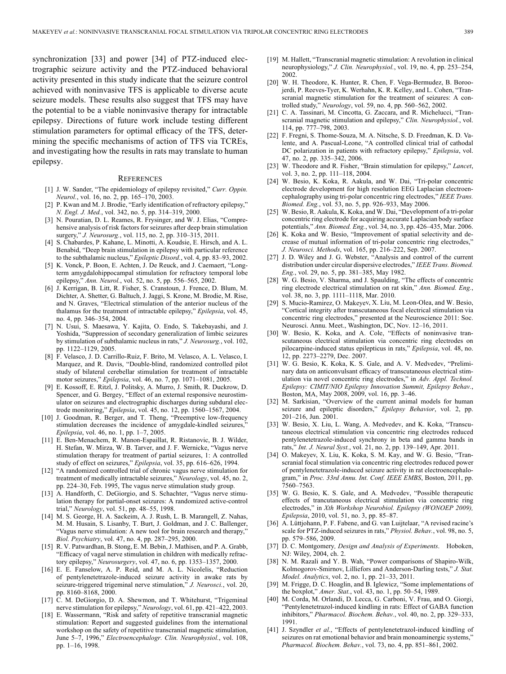synchronization [33] and power [34] of PTZ-induced electrographic seizure activity and the PTZ-induced behavioral activity presented in this study indicate that the seizure control achieved with noninvasive TFS is applicable to diverse acute seizure models. These results also suggest that TFS may have the potential to be a viable noninvasive therapy for intractable epilepsy. Directions of future work include testing different stimulation parameters for optimal efficacy of the TFS, determining the specific mechanisms of action of TFS via TCREs, and investigating how the results in rats may translate to human epilepsy.

#### **REFERENCES**

- [1] J. W. Sander, "The epidemiology of epilepsy revisited," *Curr. Oppin. Neurol.*, vol. 16, no. 2, pp. 165–170, 2003.
- [2] P. Kwan and M. J. Brodie, "Early identification of refractory epilepsy," *N. Engl. J. Med.*, vol. 342, no. 5, pp. 314–319, 2000.
- [3] N. Pouratian, D. L. Reames, R. Frysinger, and W. J. Elias, "Comprehensive analysis of risk factors for seizures after deep brain stimulation surgery," *J. Neurosurg.*, vol. 115, no. 2, pp. 310–315, 2011.
- [4] S. Chabardes, P. Kahane, L. Minotti, A. Koudsie, E. Hirsch, and A. L. Benabid, "Deep brain stimulation in epilepsy with particular reference to the subthalamic nucleus," *Epileptic Disord.*, vol. 4, pp. 83–93, 2002.
- [5] K. Vonck, P. Boon, E. Achten, J. De Reuck, and J. Caemaert, "Longterm amygdalohippocampal stimulation for refractory temporal lobe epilepsy," *Ann. Neurol.*, vol. 52, no. 5, pp. 556–565, 2002.
- [6] J. Kerrigan, B. Litt, R. Fisher, S. Cranstoun, J. Frence, D. Blum, M. Dichter, A. Shetter, G. Baltuch, J. Jaggi, S. Krone, M. Brodie, M. Rise, and N. Graves, "Electrical stimulation of the anterior nucleus of the thalamus for the treatment of intractable epilepsy," *Epilepsia*, vol. 45, no. 4, pp. 346–354, 2004.
- [7] N. Usui, S. Maesawa, Y. Kajita, O. Endo, S. Takebayashi, and J. Yoshida, "Suppression of secondary generalization of limbic seizures by stimulation of subthalamic nucleus in rats," *J. Neurosurg.*, vol. 102, pp. 1122–1129, 2005.
- [8] F. Velasco, J. D. Carrillo-Ruiz, F. Brito, M. Velasco, A. L. Velasco, I. Marquez, and R. Davis, "Double-blind, randomized controlled pilot study of bilateral cerebellar stimulation for treatment of intractable motor seizures," *Epilepsia*, vol. 46, no. 7, pp. 1071–1081, 2005.
- [9] E. Kossoff, E. Ritzl, J. Politsky, A. Murro, J. Smith, R. Duckrow, D. Spencer, and G. Bergey, "Effect of an external responsive neurostimulator on seizures and electrographic discharges during subdural electrode monitoring," *Epilepsia*, vol. 45, no. 12, pp. 1560–1567, 2004.
- [10] J. Goodman, R. Berger, and T. Theng, "Preemptive low-frequency stimulation decreases the incidence of amygdale-kindled seizures," *Epilepsia*, vol. 46, no. 1, pp. 1–7, 2005.
- [11] E. Ben-Menachem, R. Manon-Espaillat, R. Ristanovic, B. J. Wilder, H. Stefan, W. Mirza, W. B. Tarver, and J. F. Wernicke, "Vagus nerve stimulation therapy for treatment of partial seizures, 1: A controlled study of effect on seizures," *Epilepsia*, vol. 35, pp. 616–626, 1994.
- [12] "A randomized controlled trial of chronic vagus nerve stimulation for treatment of medically intractable seizures," *Neurology*, vol. 45, no. 2, pp. 224–30, Feb. 1995, The vagus nerve stimulation study group.
- [13] A. Handforth, C. DeGiorgio, and S. Schachter, "Vagus nerve stimulation therapy for partial-onset seizures: A randomized active-control trial," *Neurology*, vol. 51, pp. 48–55, 1998.
- [14] M. S. George, H. A. Sackeim, A. J. Rush, L. B. Marangell, Z. Nahas, M. M. Husain, S. Lisanby, T. Burt, J. Goldman, and J. C. Ballenger, "Vagus nerve stimulation: A new tool for brain research and therapy," *Biol. Psychiatry*, vol. 47, no. 4, pp. 287–295, 2000.
- [15] R. V. Patwardhan, B. Stong, E. M. Bebin, J. Mathisen, and P. A. Grabb, "Efficacy of vagal nerve stimulation in children with medically refractory epilepsy," *Neurosurgery*, vol. 47, no. 6, pp. 1353–1357, 2000.
- [16] E. E. Fanselow, A. P. Reid, and M. A. L. Nicolelis, "Reduction of pentylenetetrazole-induced seizure activity in awake rats by seizure-triggered trigeminal nerve stimulation," *J. Neurosci.*, vol. 20, pp. 8160–8168, 2000.
- [17] C. M. DeGiorgio, D. A. Shewmon, and T. Whitehurst, "Trigeminal nerve stimulation for epilepsy," *Neurology*, vol. 61, pp. 421–422, 2003.
- [18] E. Wassermann, "Risk and safety of repetitive transcranial magnetic stimulation: Report and suggested guidelines from the international workshop on the safety of repetitive transcranial magnetic stimulation, June 5–7, 1996," *Electroencephalogr. Clin. Neurophysiol.*, vol. 108, pp. 1–16, 1998.
- [19] M. Hallett, "Transcranial magnetic stimulation: A revolution in clinical neurophysiology," *J. Clin. Neurophysiol.*, vol. 19, no. 4, pp. 253–254, 2002.
- [20] W. H. Theodore, K. Hunter, R. Chen, F. Vega-Bermudez, B. Boroojerdi, P. Reeves-Tyer, K. Werhahn, K. R. Kelley, and L. Cohen, "Transcranial magnetic stimulation for the treatment of seizures: A controlled study," *Neurology*, vol. 59, no. 4, pp. 560–562, 2002.
- [21] C. A. Tassinari, M. Cincotta, G. Zaccara, and R. Michelucci, "Transcranial magnetic stimulation and epilepsy," *Clin. Neurophysiol.*, vol. 114, pp. 777–798, 2003.
- [22] F. Fregni, S. Thome-Souza, M. A. Nitsche, S. D. Freedman, K. D. Valente, and A. Pascual-Leone, "A controlled clinical trial of cathodal DC polarization in patients with refractory epilepsy," *Epilepsia*, vol. 47, no. 2, pp. 335–342, 2006.
- [23] W. Theodore and R. Fisher, "Brain stimulation for epilepsy," *Lancet*, vol. 3, no. 2, pp. 111–118, 2004.
- [24] W. Besio, K. Koka, R. Aakula, and W. Dai, "Tri-polar concentric electrode development for high resolution EEG Laplacian electroencephalography using tri-polar concentric ring electrodes," *IEEE Trans. Biomed. Eng.*, vol. 53, no. 5, pp. 926–933, May 2006.
- [25] W. Besio, R. Aakula, K. Koka, and W. Dai, "Development of a tri-polar concentric ring electrode for acquiring accurate Laplacian body surface potentials," *Ann. Biomed. Eng.*, vol. 34, no. 3, pp. 426–435, Mar. 2006.
- [26] K. Koka and W. Besio, "Improvement of spatial selectivity and decrease of mutual information of tri-polar concentric ring electrodes,' *J. Neurosci. Methods*, vol. 165, pp. 216–222, Sep. 2007.
- [27] J. D. Wiley and J. G. Webster, "Analysis and control of the current distribution under circular dispersive electrodes," *IEEE Trans. Biomed. Eng.*, vol. 29, no. 5, pp. 381–385, May 1982.
- [28] W. G. Besio, V. Sharma, and J. Spaulding, "The effects of concentric ring electrode electrical stimulation on rat skin," *Ann. Biomed. Eng.*, vol. 38, no. 3, pp. 1111–1118, Mar. 2010.
- [29] S. Mucio-Ramirez, O. Makeyev, X. Liu, M. Leon-Olea, and W. Besio, "Cortical integrity after transcutaneous focal electrical stimulation via concentric ring electrodes," presented at the Neuroscience 2011: Soc. Neurosci. Annu. Meet., Washington, DC, Nov. 12–16, 2011.
- [30] W. Besio, K. Koka, and A. Cole, "Effects of noninvasive transcutaneous electrical stimulation via concentric ring electrodes on pilocarpine-induced status epilepticus in rats," *Epilepsia*, vol. 48, no. 12, pp. 2273–2279, Dec. 2007.
- [31] W. G. Besio, K. Koka, K. S. Gale, and A. V. Medvedev, "Preliminary data on anticonvulsant efficacy of transcutaneous electrical stimulation via novel concentric ring electrodes," in *Adv. Appl. Technol. Epilepsy: CIMIT/NIO Epilepsy Innovation Summit, Epilepsy Behav.*, Boston, MA, May 2008, 2009, vol. 16, pp. 3–46.
- [32] M. Sarkisian, "Overview of the current animal models for human seizure and epileptic disorders," *Epilepsy Behavior*, vol. 2, pp. 201–216, Jun. 2001.
- [33] W. Besio, X. Liu, L. Wang, A. Medvedev, and K. Koka, "Transcutaneous electrical stimulation via concentric ring electrodes reduced pentylenetetrazole-induced synchrony in beta and gamma bands in rats," *Int. J. Neural Syst.*, vol. 21, no. 2, pp. 139–149, Apr. 2011.
- [34] O. Makeyev, X. Liu, K. Koka, S. M. Kay, and W. G. Besio, "Transcranial focal stimulation via concentric ring electrodes reduced power of pentylenetetrazole-induced seizure activity in rat electroencephalogram," in *Proc. 33rd Annu. Int. Conf. IEEE EMBS*, Boston, 2011, pp. 7560–7563.
- [35] W. G. Besio, K. S. Gale, and A. Medvedev, "Possible therapeutic effects of trancutaneous electrical stimulation via concentric ring electrodes," in *Xth Workshop Neurobiol. Epilepsy (WONOEP 2009), Epilepsia*, 2010, vol. 51, no. 3, pp. 85–87.
- [36] A. Lüttjohann, P. F. Fabene, and G. van Luijtelaar, "A revised racine's scale for PTZ-induced seizures in rats," *Physiol. Behav.*, vol. 98, no. 5, pp. 579–586, 2009.
- [37] D. C. Montgomery*, Design and Analysis of Experiments*. Hoboken, NJ: Wiley, 2004, ch. 2.
- [38] N. M. Razali and Y. B. Wah, "Power comparisons of Shapiro-Wilk, Kolmogorov-Smirnov, Lilliefors and Anderson-Darling tests," *J. Stat. Model. Analytics*, vol. 2, no. 1, pp. 21–33, 2011.
- [39] M. Frigge, D. C. Hoaglin, and B. Iglewicz, "Some implementations of the boxplot," *Amer. Stat.*, vol. 43, no. 1, pp. 50–54, 1989.
- [40] M. Corda, M. Orlandi, D. Lecca, G. Carboni, V. Frau, and O. Giorgi, "Pentylenetetrazol-induced kindling in rats: Effect of GABA function inhibitors," *Pharmacol. Biochem. Behav.*, vol. 40, no. 2, pp. 329–333, 1991.
- [41] J. Szyndler *et al.*, "Effects of pentylenetetrazol-induced kindling of seizures on rat emotional behavior and brain monoaminergic systems," *Pharmacol. Biochem. Behav.*, vol. 73, no. 4, pp. 851–861, 2002.